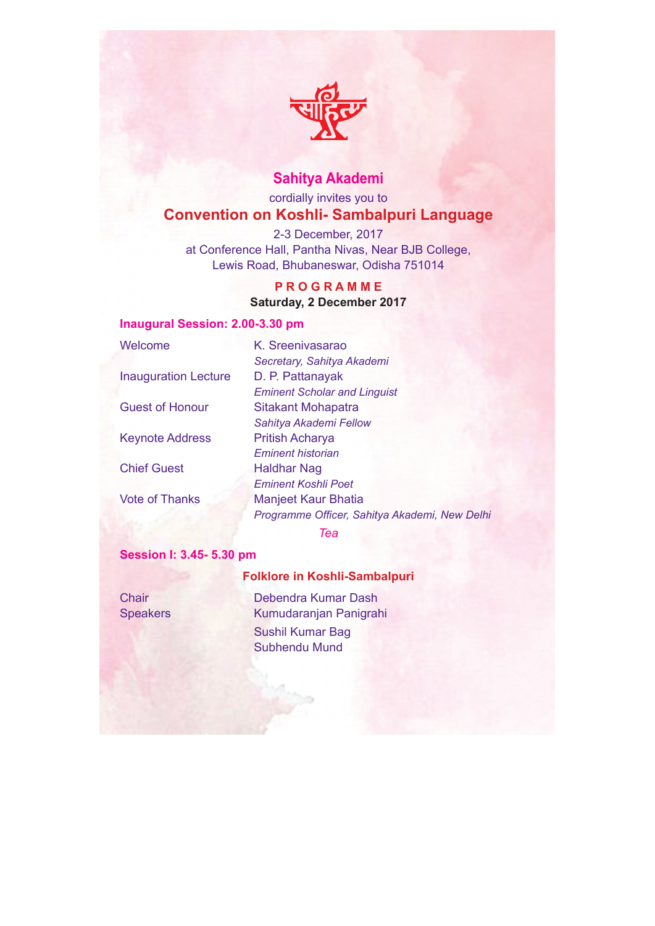

# **Sahitya Akademi**

# cordially invites you to **Convention on Koshli- Sambalpuri Language**

2-3 December, 2017 at Conference Hall, Pantha Nivas, Near BJB College, Lewis Road, Bhubaneswar, Odisha 751014

## **P R O G R A M M E**

## **Saturday, 2 December 2017**

## **Inaugural Session: 2.00-3.30 pm**

| Welcome                     | K. Sreenivasarao                              |
|-----------------------------|-----------------------------------------------|
|                             | Secretary, Sahitya Akademi                    |
| <b>Inauguration Lecture</b> | D. P. Pattanayak                              |
|                             | <b>Eminent Scholar and Linguist</b>           |
| <b>Guest of Honour</b>      | <b>Sitakant Mohapatra</b>                     |
|                             | Sahitya Akademi Fellow                        |
| <b>Keynote Address</b>      | <b>Pritish Acharya</b>                        |
|                             | <b>Eminent historian</b>                      |
| <b>Chief Guest</b>          | Haldhar Nag                                   |
|                             | <b>Eminent Koshli Poet</b>                    |
| <b>Vote of Thanks</b>       | <b>Manjeet Kaur Bhatia</b>                    |
|                             | Programme Officer, Sahitya Akademi, New Delhi |

*Tea*

## **Session I: 3.45- 5.30 pm**

# **Folklore in Koshli-Sambalpuri**

Chair Debendra Kumar Dash Speakers Kumudaranjan Panigrahi Sushil Kumar Bag Subhendu Mund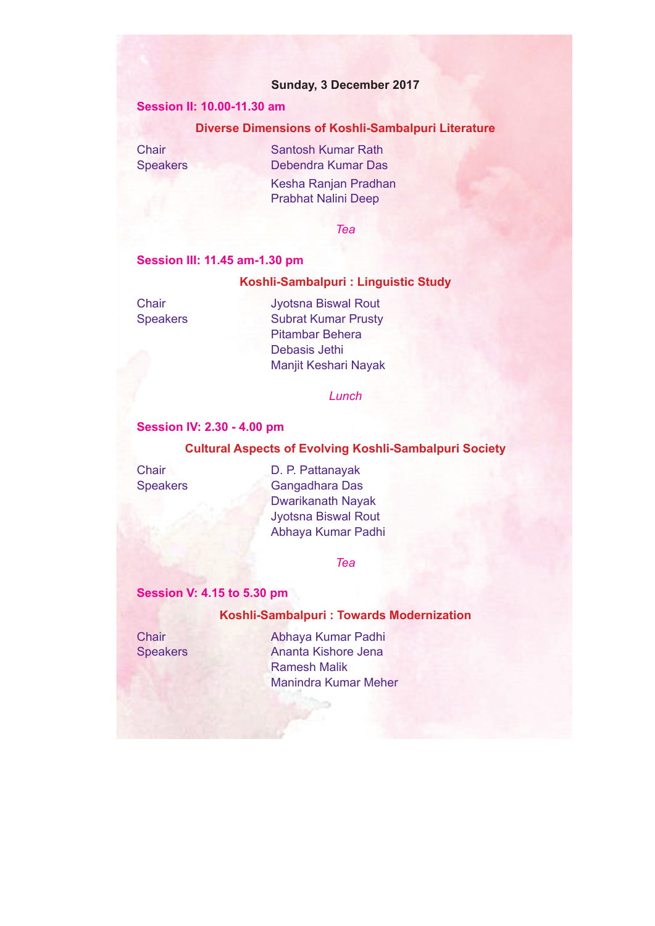## **Sunday, 3 December 2017**

## **Session II: 10.00-11.30 am**

## **Diverse Dimensions of Koshli-Sambalpuri Literature**

**Chair** Santosh Kumar Rath Speakers Debendra Kumar Das Kesha Ranjan Pradhan Prabhat Nalini Deep

*Tea*

## **Session III: 11.45 am-1.30 pm**

### **Koshli-Sambalpuri : Linguistic Study**

Chair Jyotsna Biswal Rout Speakers Subrat Kumar Prusty Pitambar Behera Debasis Jethi Manjit Keshari Nayak

*Lunch*

## **Session IV: 2.30 - 4.00 pm**

#### **Cultural Aspects of Evolving Koshli-Sambalpuri Society**

Chair D. P. Pattanayak Speakers Gangadhara Das Dwarikanath Nayak Jyotsna Biswal Rout Abhaya Kumar Padhi

*Tea*

## **Session V: 4.15 to 5.30 pm**

### **Koshli-Sambalpuri : Towards Modernization**

Chair Abhaya Kumar Padhi Speakers Ananta Kishore Jena Ramesh Malik Manindra Kumar Meher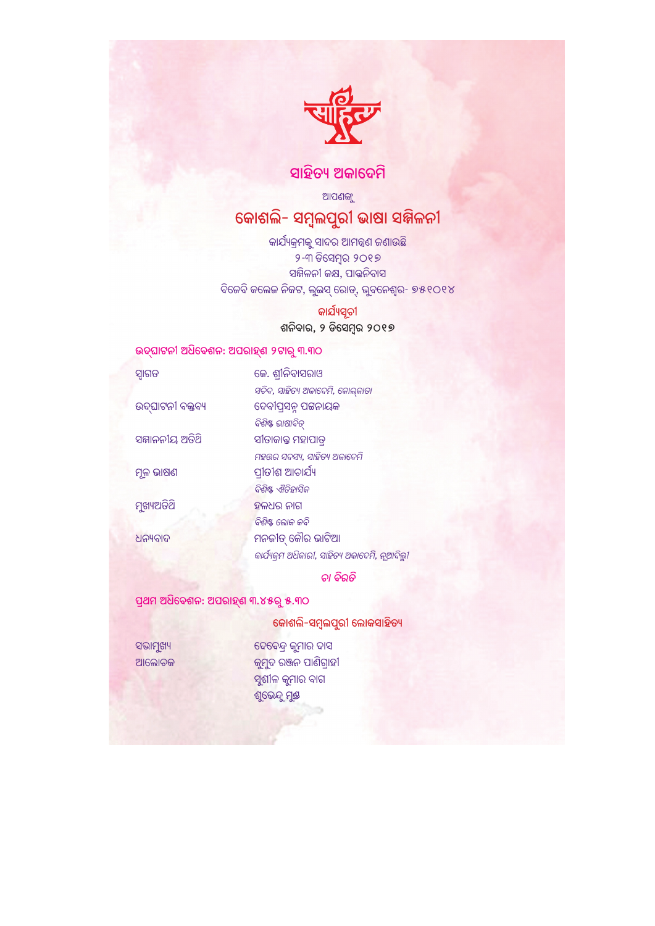

# ସାହିତ୍ୟ ଅକାଦେମି

ଆପଣଙ୍କୁ

# କୋଶଲି- ସମ୍ବୁଲପୁରୀ ଭାଷା ସଜ୍ଜିଳନୀ

କାର୍ଯ୍ୟକ୍ରମକୁ ସାଦର ଆମନ୍ତ୍ରଣ ଜଣାଉଛି ୨-୩ ଡିସେମ୍ବର ୨୦୧୭ ସଜ୍ଜିଳନୀ କକ୍ଷ, ପାତ୍ତନିବାସ ବିଜେବି କଲେଜ ନିକଟ, ଲୁଇସ୍ ରୋଡ୍, ଭୁବନେଶ୍ୱର- ୭୫୧୦୧୪

କାର୍ଯ୍ୟସୂଚୀ

ଶନିବାର, ୨ ଡିସେମ୍ବର ୨୦୧୭

## ଉଦ୍ଘାଟନୀ ଅଧିବେଶନ: ଅପରାହ୍ଣ ୨ଟାରୁ ୩.୩୦

| ସ୍ନାଗତ           | କେ. ଶ୍ରୀନିବାସରାଓ                             |
|------------------|----------------------------------------------|
|                  | ସଚିବ, ସାହିତ୍ୟ ଅକାଦେମି, କୋଲ୍କାତା              |
| ଉଦ୍ଘାଟନୀ ବକ୍ତବ୍ୟ | ଦେବୀପ୍ରସନ୍ନ ପଟ୍ଟନାୟକ                         |
|                  | ବିଶିଷ୍ଟ ଭାଷାବିତ୍                             |
| ସମ୍ମାନନୀୟ ଅତିଥି  | ସୀତାକାନ୍ତ ମହାପାତ୍                            |
|                  | ମହଉର ସଦସ୍ୟ, ସାହିତ୍ୟ ଅକାଦେମି                  |
| ମୂଳ ଭାଷଣ         | ପ୍ରୀତୀଶ ଆଚାର୍ଯ୍ୟ                             |
|                  | ବିଶିଷ୍ଟ ଐତିହାସିକ                             |
| ମୁଖ୍ୟଅତିଥି       | ହଳଧର ନାଗ                                     |
|                  | ବିଶିଷ୍ଟ ଲୋକ କବି                              |
| ଧନ୍ୟବାଦ          | ମନଜୀତ୍ କୌର ଭାଟିଆ                             |
|                  | କାର୍ଯ୍ୟକ୍ମ ଅଧିକାରୀ, ସାହିତ୍ୟ ଅକାବେମି, ନୂଆଦିଲୁ |
|                  |                                              |

ତା ବିରତି

ପ୍ରଥମ ଅଧିବେଶନ: ଅପରାହ୍ଣ ୩.୪୫ରୁ ୫.୩୦

କୋଶଲି-ସମ୍ବଲପୁରୀ ଲୋକସାହିତ୍ୟ

ସଭାମୁଖ୍ୟ ଆଲୋଚକ ଦେବେନ୍ଦ୍ର କୁମାର ଦାସ କୁମୁଦ ରଞ୍ଜନ ପାଣିଗ୍ରାହୀ ସୁଶୀଳ କୁମାର ବାଗ ଶୁଭେନ୍ଦୁ ମୁକ୍ତ